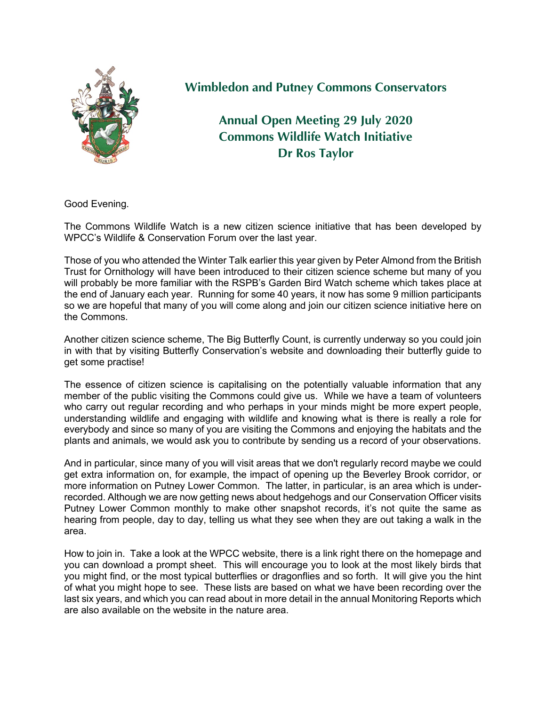

## **Wimbledon and Putney Commons Conservators**

**Annual Open Meeting 29 July 2020 Commons Wildlife Watch Initiative Dr Ros Taylor**

Good Evening.

The Commons Wildlife Watch is a new citizen science initiative that has been developed by WPCC's Wildlife & Conservation Forum over the last year.

Those of you who attended the Winter Talk earlier this year given by Peter Almond from the British Trust for Ornithology will have been introduced to their citizen science scheme but many of you will probably be more familiar with the RSPB's Garden Bird Watch scheme which takes place at the end of January each year. Running for some 40 years, it now has some 9 million participants so we are hopeful that many of you will come along and join our citizen science initiative here on the Commons.

Another citizen science scheme, The Big Butterfly Count, is currently underway so you could join in with that by visiting Butterfly Conservation's website and downloading their butterfly guide to get some practise!

The essence of citizen science is capitalising on the potentially valuable information that any member of the public visiting the Commons could give us. While we have a team of volunteers who carry out regular recording and who perhaps in your minds might be more expert people, understanding wildlife and engaging with wildlife and knowing what is there is really a role for everybody and since so many of you are visiting the Commons and enjoying the habitats and the plants and animals, we would ask you to contribute by sending us a record of your observations.

And in particular, since many of you will visit areas that we don't regularly record maybe we could get extra information on, for example, the impact of opening up the Beverley Brook corridor, or more information on Putney Lower Common. The latter, in particular, is an area which is underrecorded. Although we are now getting news about hedgehogs and our Conservation Officer visits Putney Lower Common monthly to make other snapshot records, it's not quite the same as hearing from people, day to day, telling us what they see when they are out taking a walk in the area.

How to join in. Take a look at the WPCC website, there is a link right there on the homepage and you can download a prompt sheet. This will encourage you to look at the most likely birds that you might find, or the most typical butterflies or dragonflies and so forth. It will give you the hint of what you might hope to see. These lists are based on what we have been recording over the last six years, and which you can read about in more detail in the annual Monitoring Reports which are also available on the website in the nature area.